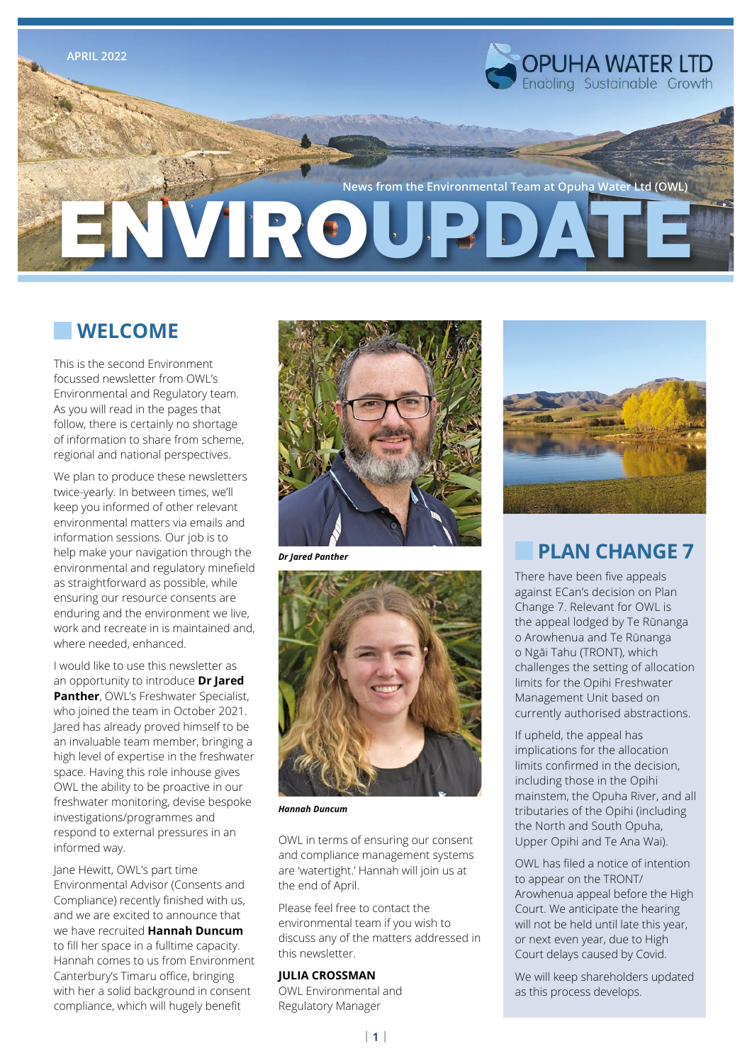

## **WELCOME**

This is the second Environment focussed newsletter from OWL's Environmental and Regulatory team. As you will read in the pages that follow, there is certainly no shortage of information to share from scheme, regional and national perspectives.

We plan to produce these newsletters twice-yearly. In between times, we'll keep you informed of other relevant environmental matters via emails and information sessions. Our job is to help make your navigation through the environmental and regulatory minefield as straightforward as possible, while ensuring our resource consents are enduring and the environment we live, work and recreate in is maintained and, where needed, enhanced.

I would like to use this newsletter as an opportunity to introduce **Dr Jared Panther**, OWL's Freshwater Specialist, who joined the team in October 2021. Jared has already proved himself to be an invaluable team member, bringing a high level of expertise in the freshwater space. Having this role inhouse gives OWL the ability to be proactive in our freshwater monitoring, devise bespoke investigations/programmes and respond to external pressures in an informed way.

Jane Hewitt, OWL's part time Environmental Advisor (Consents and Compliance) recently finished with us, and we are excited to announce that we have recruited **Hannah Duncum** to fill her space in a fulltime capacity. Hannah comes to us from Environment Canterbury's Timaru office, bringing with her a solid background in consent compliance, which will hugely benefit



*Dr Jared Panther*



*Hannah Duncum*

OWL in terms of ensuring our consent and compliance management systems are 'watertight.' Hannah will join us at the end of April.

Please feel free to contact the environmental team if you wish to discuss any of the matters addressed in this newsletter.

### **JULIA CROSSMAN**

OWL Environmental and Regulatory Manager



## **PLAN CHANGE 7**

There have been five appeals against ECan's decision on Plan Change 7. Relevant for OWL is the appeal lodged by Te Rūnanga o Arowhenua and Te Rūnanga o Ngāi Tahu (TRONT), which challenges the setting of allocation limits for the Opihi Freshwater Management Unit based on currently authorised abstractions.

If upheld, the appeal has implications for the allocation limits confirmed in the decision, including those in the Opihi mainstem, the Opuha River, and all tributaries of the Opihi (including the North and South Opuha, Upper Opihi and Te Ana Wai).

OWL has filed a notice of intention to appear on the TRONT/ Arowhenua appeal before the High Court. We anticipate the hearing will not be held until late this year, or next even year, due to High Court delays caused by Covid.

We will keep shareholders updated as this process develops.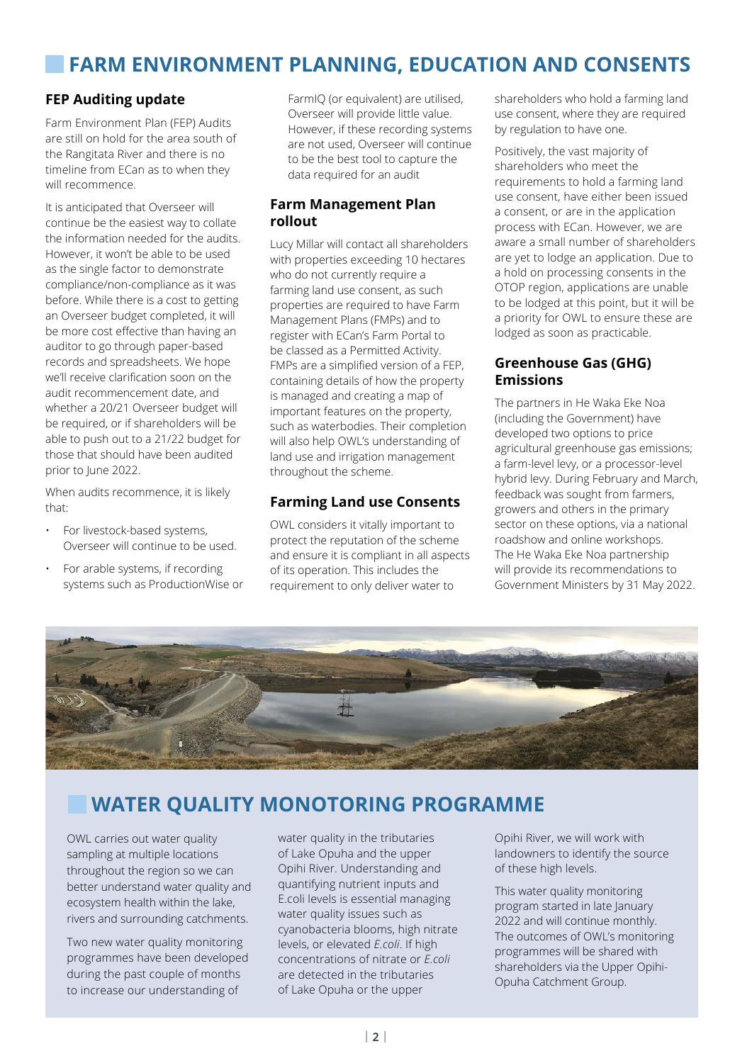# **FARM ENVIRONMENT PLANNING, EDUCATION AND CONSENTS**

### **FEP Auditing update**

Farm Environment Plan (FEP) Audits are still on hold for the area south of the Rangitata River and there is no timeline from ECan as to when they will recommence.

It is anticipated that Overseer will continue be the easiest way to collate the information needed for the audits. However, it won't be able to be used as the single factor to demonstrate compliance/non-compliance as it was before. While there is a cost to getting an Overseer budget completed, it will be more cost effective than having an auditor to go through paper-based records and spreadsheets. We hope we'll receive clarification soon on the audit recommencement date, and whether a 20/21 Overseer budget will be required, or if shareholders will be able to push out to a 21/22 budget for those that should have been audited prior to lune 2022.

When audits recommence, it is likely that:

- For livestock-based systems, Overseer will continue to be used.
- For arable systems, if recording systems such as ProductionWise or

FarmIQ (or equivalent) are utilised, Overseer will provide little value. However, if these recording systems are not used, Overseer will continue to be the best tool to capture the data required for an audit

### **Farm Management Plan rollout**

Lucy Millar will contact all shareholders with properties exceeding 10 hectares who do not currently require a farming land use consent, as such properties are required to have Farm Management Plans (FMPs) and to register with ECan's Farm Portal to be classed as a Permitted Activity. FMPs are a simplified version of a FEP, containing details of how the property is managed and creating a map of important features on the property, such as waterbodies. Their completion will also help OWL's understanding of land use and irrigation management throughout the scheme.

### **Farming Land use Consents**

OWL considers it vitally important to protect the reputation of the scheme and ensure it is compliant in all aspects of its operation. This includes the requirement to only deliver water to

shareholders who hold a farming land use consent, where they are required by regulation to have one.

Positively, the vast majority of shareholders who meet the requirements to hold a farming land use consent, have either been issued a consent, or are in the application process with ECan. However, we are aware a small number of shareholders are yet to lodge an application. Due to a hold on processing consents in the OTOP region, applications are unable to be lodged at this point, but it will be a priority for OWL to ensure these are lodged as soon as practicable.

### **Greenhouse Gas (GHG) Emissions**

The partners in He Waka Eke Noa (including the Government) have developed two options to price agricultural greenhouse gas emissions; a farm-level levy, or a processor-level hybrid levy. During February and March, feedback was sought from farmers, growers and others in the primary sector on these options, via a national roadshow and online workshops. The He Waka Eke Noa partnership will provide its recommendations to Government Ministers by 31 May 2022.



# **WATER QUALITY MONOTORING PROGRAMME**

OWL carries out water quality sampling at multiple locations throughout the region so we can better understand water quality and ecosystem health within the lake, rivers and surrounding catchments.

Two new water quality monitoring programmes have been developed during the past couple of months to increase our understanding of

water quality in the tributaries of Lake Opuha and the upper Opihi River. Understanding and quantifying nutrient inputs and E.coli levels is essential managing water quality issues such as cyanobacteria blooms, high nitrate levels, or elevated *E.coli*. If high concentrations of nitrate or *E.coli* are detected in the tributaries of Lake Opuha or the upper

Opihi River, we will work with landowners to identify the source of these high levels.

This water quality monitoring program started in late January 2022 and will continue monthly. The outcomes of OWL's monitoring programmes will be shared with shareholders via the Upper Opihi-Opuha Catchment Group.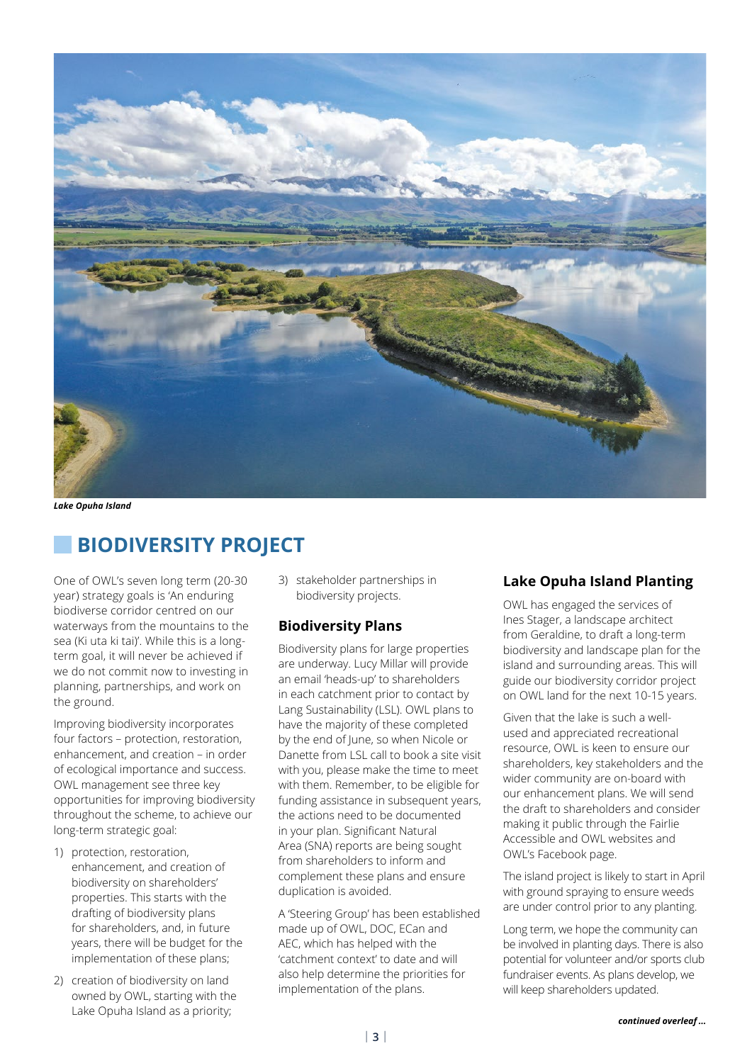

*Lake Opuha Island*

## **BIODIVERSITY PROJECT**

One of OWL's seven long term (20-30 year) strategy goals is 'An enduring biodiverse corridor centred on our waterways from the mountains to the sea (Ki uta ki tai)'. While this is a longterm goal, it will never be achieved if we do not commit now to investing in planning, partnerships, and work on the ground.

Improving biodiversity incorporates four factors – protection, restoration, enhancement, and creation – in order of ecological importance and success. OWL management see three key opportunities for improving biodiversity throughout the scheme, to achieve our long-term strategic goal:

- 1) protection, restoration, enhancement, and creation of biodiversity on shareholders' properties. This starts with the drafting of biodiversity plans for shareholders, and, in future years, there will be budget for the implementation of these plans;
- 2) creation of biodiversity on land owned by OWL, starting with the Lake Opuha Island as a priority;

3) stakeholder partnerships in biodiversity projects.

#### **Biodiversity Plans**

Biodiversity plans for large properties are underway. Lucy Millar will provide an email 'heads-up' to shareholders in each catchment prior to contact by Lang Sustainability (LSL). OWL plans to have the majority of these completed by the end of June, so when Nicole or Danette from LSL call to book a site visit with you, please make the time to meet with them. Remember, to be eligible for funding assistance in subsequent years, the actions need to be documented in your plan. Significant Natural Area (SNA) reports are being sought from shareholders to inform and complement these plans and ensure duplication is avoided.

A 'Steering Group' has been established made up of OWL, DOC, ECan and AEC, which has helped with the 'catchment context' to date and will also help determine the priorities for implementation of the plans.

#### **Lake Opuha Island Planting**

OWL has engaged the services of Ines Stager, a landscape architect from Geraldine, to draft a long-term biodiversity and landscape plan for the island and surrounding areas. This will guide our biodiversity corridor project on OWL land for the next 10-15 years.

Given that the lake is such a wellused and appreciated recreational resource, OWL is keen to ensure our shareholders, key stakeholders and the wider community are on-board with our enhancement plans. We will send the draft to shareholders and consider making it public through the Fairlie Accessible and OWL websites and OWL's Facebook page.

The island project is likely to start in April with ground spraying to ensure weeds are under control prior to any planting.

Long term, we hope the community can be involved in planting days. There is also potential for volunteer and/or sports club fundraiser events. As plans develop, we will keep shareholders updated.